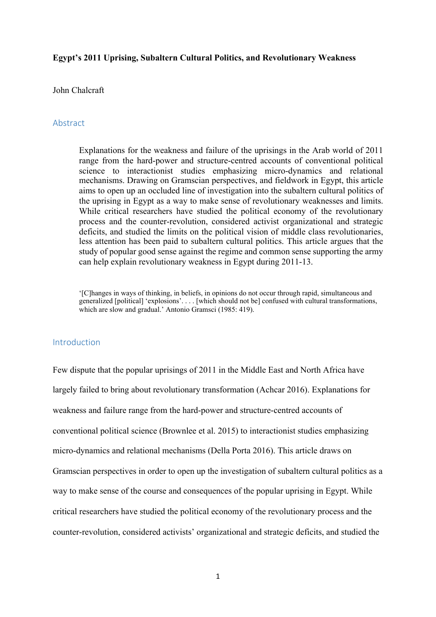### **Egypt's 2011 Uprising, Subaltern Cultural Politics, and Revolutionary Weakness**

### John Chalcraft

## Abstract

Explanations for the weakness and failure of the uprisings in the Arab world of 2011 range from the hard-power and structure-centred accounts of conventional political science to interactionist studies emphasizing micro-dynamics and relational mechanisms. Drawing on Gramscian perspectives, and fieldwork in Egypt, this article aims to open up an occluded line of investigation into the subaltern cultural politics of the uprising in Egypt as a way to make sense of revolutionary weaknesses and limits. While critical researchers have studied the political economy of the revolutionary process and the counter-revolution, considered activist organizational and strategic deficits, and studied the limits on the political vision of middle class revolutionaries, less attention has been paid to subaltern cultural politics. This article argues that the study of popular good sense against the regime and common sense supporting the army can help explain revolutionary weakness in Egypt during 2011-13.

'[C]hanges in ways of thinking, in beliefs, in opinions do not occur through rapid, simultaneous and generalized [political] 'explosions'. . . . [which should not be] confused with cultural transformations, which are slow and gradual.' Antonio Gramsci (1985: 419).

# Introduction

Few dispute that the popular uprisings of 2011 in the Middle East and North Africa have largely failed to bring about revolutionary transformation (Achcar 2016). Explanations for weakness and failure range from the hard-power and structure-centred accounts of conventional political science (Brownlee et al. 2015) to interactionist studies emphasizing micro-dynamics and relational mechanisms (Della Porta 2016). This article draws on Gramscian perspectives in order to open up the investigation of subaltern cultural politics as a way to make sense of the course and consequences of the popular uprising in Egypt. While critical researchers have studied the political economy of the revolutionary process and the counter-revolution, considered activists' organizational and strategic deficits, and studied the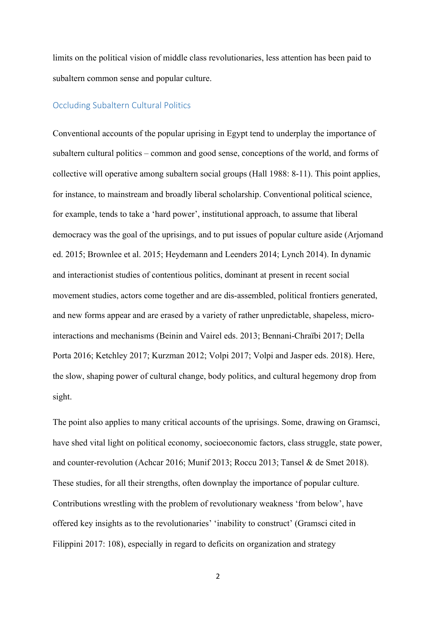limits on the political vision of middle class revolutionaries, less attention has been paid to subaltern common sense and popular culture.

# Occluding Subaltern Cultural Politics

Conventional accounts of the popular uprising in Egypt tend to underplay the importance of subaltern cultural politics – common and good sense, conceptions of the world, and forms of collective will operative among subaltern social groups (Hall 1988: 8-11). This point applies, for instance, to mainstream and broadly liberal scholarship. Conventional political science, for example, tends to take a 'hard power', institutional approach, to assume that liberal democracy was the goal of the uprisings, and to put issues of popular culture aside (Arjomand ed. 2015; Brownlee et al. 2015; Heydemann and Leenders 2014; Lynch 2014). In dynamic and interactionist studies of contentious politics, dominant at present in recent social movement studies, actors come together and are dis-assembled, political frontiers generated, and new forms appear and are erased by a variety of rather unpredictable, shapeless, microinteractions and mechanisms (Beinin and Vairel eds. 2013; Bennani-Chraïbi 2017; Della Porta 2016; Ketchley 2017; Kurzman 2012; Volpi 2017; Volpi and Jasper eds. 2018). Here, the slow, shaping power of cultural change, body politics, and cultural hegemony drop from sight.

The point also applies to many critical accounts of the uprisings. Some, drawing on Gramsci, have shed vital light on political economy, socioeconomic factors, class struggle, state power, and counter-revolution (Achcar 2016; Munif 2013; Roccu 2013; Tansel & de Smet 2018). These studies, for all their strengths, often downplay the importance of popular culture. Contributions wrestling with the problem of revolutionary weakness 'from below', have offered key insights as to the revolutionaries' 'inability to construct' (Gramsci cited in Filippini 2017: 108), especially in regard to deficits on organization and strategy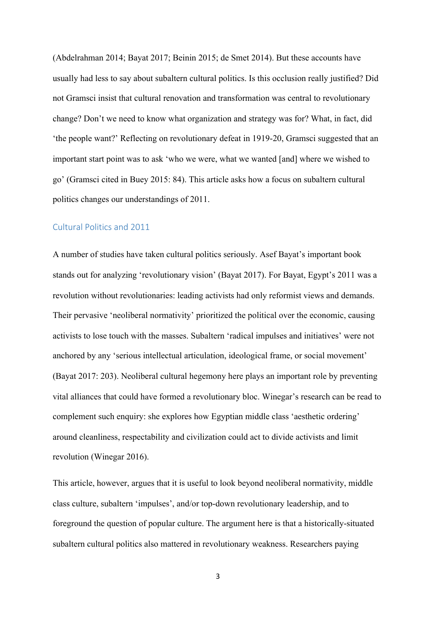(Abdelrahman 2014; Bayat 2017; Beinin 2015; de Smet 2014). But these accounts have usually had less to say about subaltern cultural politics. Is this occlusion really justified? Did not Gramsci insist that cultural renovation and transformation was central to revolutionary change? Don't we need to know what organization and strategy was for? What, in fact, did 'the people want?' Reflecting on revolutionary defeat in 1919-20, Gramsci suggested that an important start point was to ask 'who we were, what we wanted [and] where we wished to go' (Gramsci cited in Buey 2015: 84). This article asks how a focus on subaltern cultural politics changes our understandings of 2011.

### Cultural Politics and 2011

A number of studies have taken cultural politics seriously. Asef Bayat's important book stands out for analyzing 'revolutionary vision' (Bayat 2017). For Bayat, Egypt's 2011 was a revolution without revolutionaries: leading activists had only reformist views and demands. Their pervasive 'neoliberal normativity' prioritized the political over the economic, causing activists to lose touch with the masses. Subaltern 'radical impulses and initiatives' were not anchored by any 'serious intellectual articulation, ideological frame, or social movement' (Bayat 2017: 203). Neoliberal cultural hegemony here plays an important role by preventing vital alliances that could have formed a revolutionary bloc. Winegar's research can be read to complement such enquiry: she explores how Egyptian middle class 'aesthetic ordering' around cleanliness, respectability and civilization could act to divide activists and limit revolution (Winegar 2016).

This article, however, argues that it is useful to look beyond neoliberal normativity, middle class culture, subaltern 'impulses', and/or top-down revolutionary leadership, and to foreground the question of popular culture. The argument here is that a historically-situated subaltern cultural politics also mattered in revolutionary weakness. Researchers paying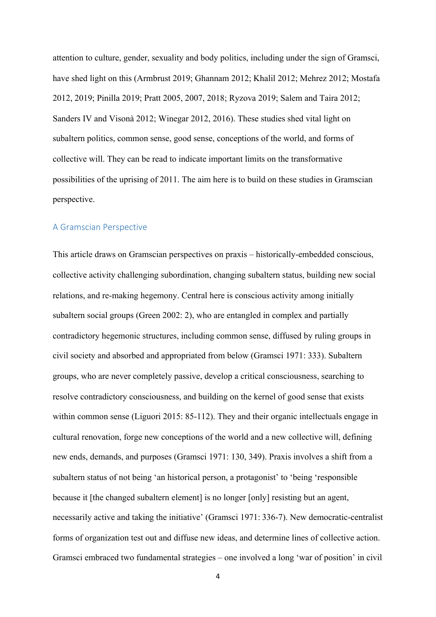attention to culture, gender, sexuality and body politics, including under the sign of Gramsci, have shed light on this (Armbrust 2019; Ghannam 2012; Khalil 2012; Mehrez 2012; Mostafa 2012, 2019; Pinilla 2019; Pratt 2005, 2007, 2018; Ryzova 2019; Salem and Taira 2012; Sanders IV and Visonà 2012; Winegar 2012, 2016). These studies shed vital light on subaltern politics, common sense, good sense, conceptions of the world, and forms of collective will. They can be read to indicate important limits on the transformative possibilities of the uprising of 2011. The aim here is to build on these studies in Gramscian perspective.

### A Gramscian Perspective

This article draws on Gramscian perspectives on praxis – historically-embedded conscious, collective activity challenging subordination, changing subaltern status, building new social relations, and re-making hegemony. Central here is conscious activity among initially subaltern social groups (Green 2002: 2), who are entangled in complex and partially contradictory hegemonic structures, including common sense, diffused by ruling groups in civil society and absorbed and appropriated from below (Gramsci 1971: 333). Subaltern groups, who are never completely passive, develop a critical consciousness, searching to resolve contradictory consciousness, and building on the kernel of good sense that exists within common sense (Liguori 2015: 85-112). They and their organic intellectuals engage in cultural renovation, forge new conceptions of the world and a new collective will, defining new ends, demands, and purposes (Gramsci 1971: 130, 349). Praxis involves a shift from a subaltern status of not being 'an historical person, a protagonist' to 'being 'responsible because it [the changed subaltern element] is no longer [only] resisting but an agent, necessarily active and taking the initiative' (Gramsci 1971: 336-7). New democratic-centralist forms of organization test out and diffuse new ideas, and determine lines of collective action. Gramsci embraced two fundamental strategies – one involved a long 'war of position' in civil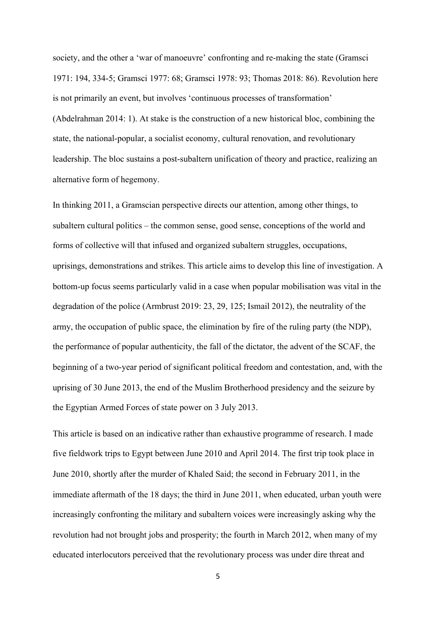society, and the other a 'war of manoeuvre' confronting and re-making the state (Gramsci 1971: 194, 334-5; Gramsci 1977: 68; Gramsci 1978: 93; Thomas 2018: 86). Revolution here is not primarily an event, but involves 'continuous processes of transformation' (Abdelrahman 2014: 1). At stake is the construction of a new historical bloc, combining the state, the national-popular, a socialist economy, cultural renovation, and revolutionary leadership. The bloc sustains a post-subaltern unification of theory and practice, realizing an alternative form of hegemony.

In thinking 2011, a Gramscian perspective directs our attention, among other things, to subaltern cultural politics – the common sense, good sense, conceptions of the world and forms of collective will that infused and organized subaltern struggles, occupations, uprisings, demonstrations and strikes. This article aims to develop this line of investigation. A bottom-up focus seems particularly valid in a case when popular mobilisation was vital in the degradation of the police (Armbrust 2019: 23, 29, 125; Ismail 2012), the neutrality of the army, the occupation of public space, the elimination by fire of the ruling party (the NDP), the performance of popular authenticity, the fall of the dictator, the advent of the SCAF, the beginning of a two-year period of significant political freedom and contestation, and, with the uprising of 30 June 2013, the end of the Muslim Brotherhood presidency and the seizure by the Egyptian Armed Forces of state power on 3 July 2013.

This article is based on an indicative rather than exhaustive programme of research. I made five fieldwork trips to Egypt between June 2010 and April 2014. The first trip took place in June 2010, shortly after the murder of Khaled Said; the second in February 2011, in the immediate aftermath of the 18 days; the third in June 2011, when educated, urban youth were increasingly confronting the military and subaltern voices were increasingly asking why the revolution had not brought jobs and prosperity; the fourth in March 2012, when many of my educated interlocutors perceived that the revolutionary process was under dire threat and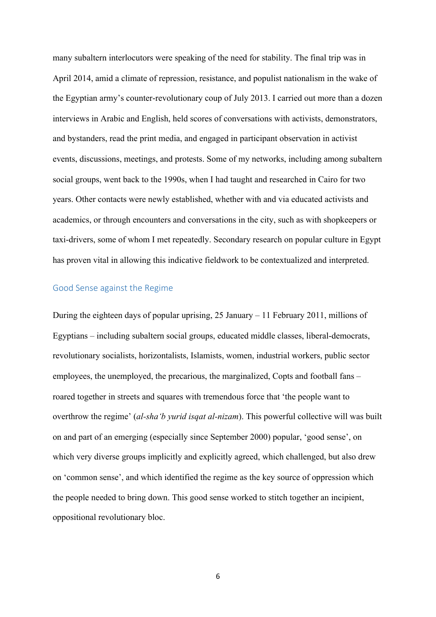many subaltern interlocutors were speaking of the need for stability. The final trip was in April 2014, amid a climate of repression, resistance, and populist nationalism in the wake of the Egyptian army's counter-revolutionary coup of July 2013. I carried out more than a dozen interviews in Arabic and English, held scores of conversations with activists, demonstrators, and bystanders, read the print media, and engaged in participant observation in activist events, discussions, meetings, and protests. Some of my networks, including among subaltern social groups, went back to the 1990s, when I had taught and researched in Cairo for two years. Other contacts were newly established, whether with and via educated activists and academics, or through encounters and conversations in the city, such as with shopkeepers or taxi-drivers, some of whom I met repeatedly. Secondary research on popular culture in Egypt has proven vital in allowing this indicative fieldwork to be contextualized and interpreted.

## Good Sense against the Regime

During the eighteen days of popular uprising, 25 January – 11 February 2011, millions of Egyptians – including subaltern social groups, educated middle classes, liberal-democrats, revolutionary socialists, horizontalists, Islamists, women, industrial workers, public sector employees, the unemployed, the precarious, the marginalized, Copts and football fans – roared together in streets and squares with tremendous force that 'the people want to overthrow the regime' (*al-sha'b yurid isqat al-nizam*). This powerful collective will was built on and part of an emerging (especially since September 2000) popular, 'good sense', on which very diverse groups implicitly and explicitly agreed, which challenged, but also drew on 'common sense', and which identified the regime as the key source of oppression which the people needed to bring down. This good sense worked to stitch together an incipient, oppositional revolutionary bloc.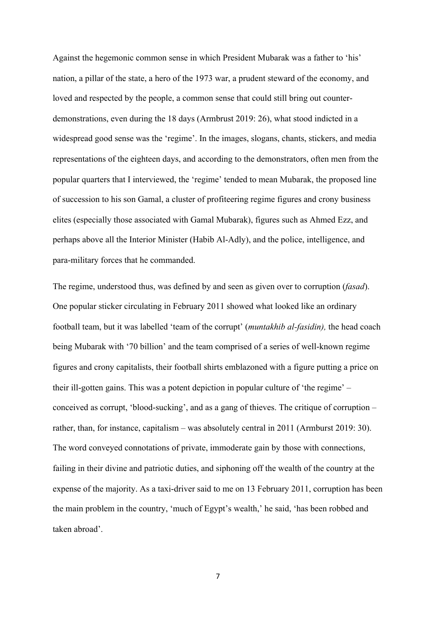Against the hegemonic common sense in which President Mubarak was a father to 'his' nation, a pillar of the state, a hero of the 1973 war, a prudent steward of the economy, and loved and respected by the people, a common sense that could still bring out counterdemonstrations, even during the 18 days (Armbrust 2019: 26), what stood indicted in a widespread good sense was the 'regime'. In the images, slogans, chants, stickers, and media representations of the eighteen days, and according to the demonstrators, often men from the popular quarters that I interviewed, the 'regime' tended to mean Mubarak, the proposed line of succession to his son Gamal, a cluster of profiteering regime figures and crony business elites (especially those associated with Gamal Mubarak), figures such as Ahmed Ezz, and perhaps above all the Interior Minister (Habib Al-Adly), and the police, intelligence, and para-military forces that he commanded.

The regime, understood thus, was defined by and seen as given over to corruption (*fasad*). One popular sticker circulating in February 2011 showed what looked like an ordinary football team, but it was labelled 'team of the corrupt' (*muntakhib al-fasidin),* the head coach being Mubarak with '70 billion' and the team comprised of a series of well-known regime figures and crony capitalists, their football shirts emblazoned with a figure putting a price on their ill-gotten gains. This was a potent depiction in popular culture of 'the regime' – conceived as corrupt, 'blood-sucking', and as a gang of thieves. The critique of corruption – rather, than, for instance, capitalism – was absolutely central in 2011 (Armburst 2019: 30). The word conveyed connotations of private, immoderate gain by those with connections, failing in their divine and patriotic duties, and siphoning off the wealth of the country at the expense of the majority. As a taxi-driver said to me on 13 February 2011, corruption has been the main problem in the country, 'much of Egypt's wealth,' he said, 'has been robbed and taken abroad'.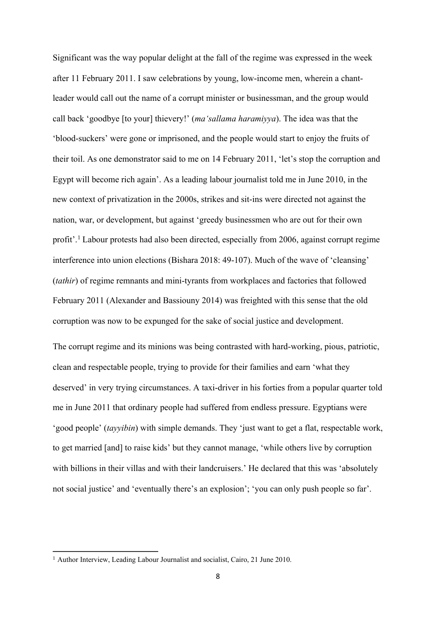Significant was the way popular delight at the fall of the regime was expressed in the week after 11 February 2011. I saw celebrations by young, low-income men, wherein a chantleader would call out the name of a corrupt minister or businessman, and the group would call back 'goodbye [to your] thievery!' (*ma'sallama haramiyya*). The idea was that the 'blood-suckers' were gone or imprisoned, and the people would start to enjoy the fruits of their toil. As one demonstrator said to me on 14 February 2011, 'let's stop the corruption and Egypt will become rich again'. As a leading labour journalist told me in June 2010, in the new context of privatization in the 2000s, strikes and sit-ins were directed not against the nation, war, or development, but against 'greedy businessmen who are out for their own profit'.1 Labour protests had also been directed, especially from 2006, against corrupt regime interference into union elections (Bishara 2018: 49-107). Much of the wave of 'cleansing' (*tathir*) of regime remnants and mini-tyrants from workplaces and factories that followed February 2011 (Alexander and Bassiouny 2014) was freighted with this sense that the old corruption was now to be expunged for the sake of social justice and development.

The corrupt regime and its minions was being contrasted with hard-working, pious, patriotic, clean and respectable people, trying to provide for their families and earn 'what they deserved' in very trying circumstances. A taxi-driver in his forties from a popular quarter told me in June 2011 that ordinary people had suffered from endless pressure. Egyptians were 'good people' (*tayyibin*) with simple demands. They 'just want to get a flat, respectable work, to get married [and] to raise kids' but they cannot manage, 'while others live by corruption with billions in their villas and with their landcruisers.' He declared that this was 'absolutely not social justice' and 'eventually there's an explosion'; 'you can only push people so far'.

<sup>&</sup>lt;sup>1</sup> Author Interview, Leading Labour Journalist and socialist, Cairo, 21 June 2010.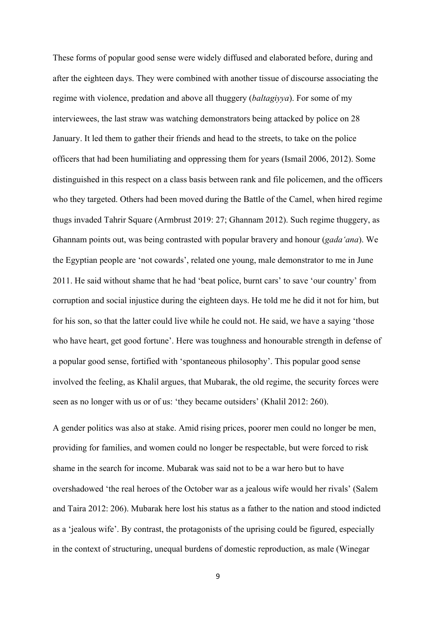These forms of popular good sense were widely diffused and elaborated before, during and after the eighteen days. They were combined with another tissue of discourse associating the regime with violence, predation and above all thuggery (*baltagiyya*). For some of my interviewees, the last straw was watching demonstrators being attacked by police on 28 January. It led them to gather their friends and head to the streets, to take on the police officers that had been humiliating and oppressing them for years (Ismail 2006, 2012). Some distinguished in this respect on a class basis between rank and file policemen, and the officers who they targeted. Others had been moved during the Battle of the Camel, when hired regime thugs invaded Tahrir Square (Armbrust 2019: 27; Ghannam 2012). Such regime thuggery, as Ghannam points out, was being contrasted with popular bravery and honour (*gada'ana*). We the Egyptian people are 'not cowards', related one young, male demonstrator to me in June 2011. He said without shame that he had 'beat police, burnt cars' to save 'our country' from corruption and social injustice during the eighteen days. He told me he did it not for him, but for his son, so that the latter could live while he could not. He said, we have a saying 'those who have heart, get good fortune'. Here was toughness and honourable strength in defense of a popular good sense, fortified with 'spontaneous philosophy'. This popular good sense involved the feeling, as Khalil argues, that Mubarak, the old regime, the security forces were seen as no longer with us or of us: 'they became outsiders' (Khalil 2012: 260).

A gender politics was also at stake. Amid rising prices, poorer men could no longer be men, providing for families, and women could no longer be respectable, but were forced to risk shame in the search for income. Mubarak was said not to be a war hero but to have overshadowed 'the real heroes of the October war as a jealous wife would her rivals' (Salem and Taira 2012: 206). Mubarak here lost his status as a father to the nation and stood indicted as a 'jealous wife'. By contrast, the protagonists of the uprising could be figured, especially in the context of structuring, unequal burdens of domestic reproduction, as male (Winegar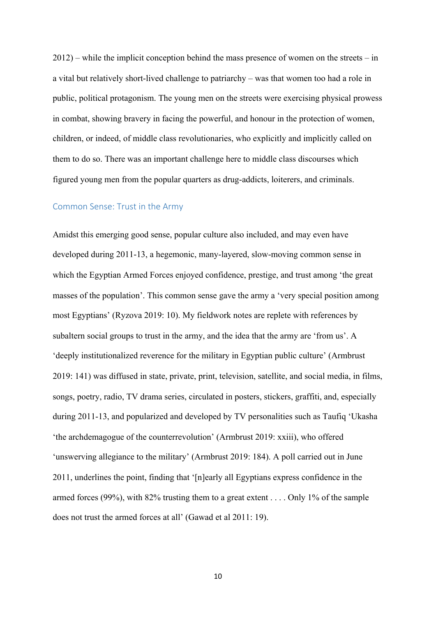$2012$ ) – while the implicit conception behind the mass presence of women on the streets – in a vital but relatively short-lived challenge to patriarchy – was that women too had a role in public, political protagonism. The young men on the streets were exercising physical prowess in combat, showing bravery in facing the powerful, and honour in the protection of women, children, or indeed, of middle class revolutionaries, who explicitly and implicitly called on them to do so. There was an important challenge here to middle class discourses which figured young men from the popular quarters as drug-addicts, loiterers, and criminals.

# Common Sense: Trust in the Army

Amidst this emerging good sense, popular culture also included, and may even have developed during 2011-13, a hegemonic, many-layered, slow-moving common sense in which the Egyptian Armed Forces enjoyed confidence, prestige, and trust among 'the great masses of the population'. This common sense gave the army a 'very special position among most Egyptians' (Ryzova 2019: 10). My fieldwork notes are replete with references by subaltern social groups to trust in the army, and the idea that the army are 'from us'. A 'deeply institutionalized reverence for the military in Egyptian public culture' (Armbrust 2019: 141) was diffused in state, private, print, television, satellite, and social media, in films, songs, poetry, radio, TV drama series, circulated in posters, stickers, graffiti, and, especially during 2011-13, and popularized and developed by TV personalities such as Taufiq 'Ukasha 'the archdemagogue of the counterrevolution' (Armbrust 2019: xxiii), who offered 'unswerving allegiance to the military' (Armbrust 2019: 184). A poll carried out in June 2011, underlines the point, finding that '[n]early all Egyptians express confidence in the armed forces (99%), with 82% trusting them to a great extent . . . . Only 1% of the sample does not trust the armed forces at all' (Gawad et al 2011: 19).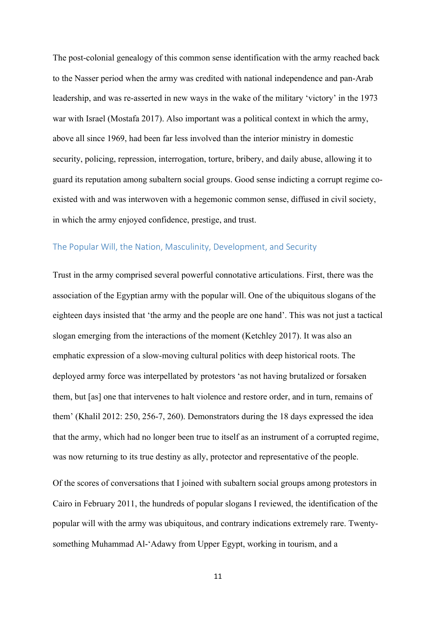The post-colonial genealogy of this common sense identification with the army reached back to the Nasser period when the army was credited with national independence and pan-Arab leadership, and was re-asserted in new ways in the wake of the military 'victory' in the 1973 war with Israel (Mostafa 2017). Also important was a political context in which the army, above all since 1969, had been far less involved than the interior ministry in domestic security, policing, repression, interrogation, torture, bribery, and daily abuse, allowing it to guard its reputation among subaltern social groups. Good sense indicting a corrupt regime coexisted with and was interwoven with a hegemonic common sense, diffused in civil society, in which the army enjoyed confidence, prestige, and trust.

### The Popular Will, the Nation, Masculinity, Development, and Security

Trust in the army comprised several powerful connotative articulations. First, there was the association of the Egyptian army with the popular will. One of the ubiquitous slogans of the eighteen days insisted that 'the army and the people are one hand'. This was not just a tactical slogan emerging from the interactions of the moment (Ketchley 2017). It was also an emphatic expression of a slow-moving cultural politics with deep historical roots. The deployed army force was interpellated by protestors 'as not having brutalized or forsaken them, but [as] one that intervenes to halt violence and restore order, and in turn, remains of them' (Khalil 2012: 250, 256-7, 260). Demonstrators during the 18 days expressed the idea that the army, which had no longer been true to itself as an instrument of a corrupted regime, was now returning to its true destiny as ally, protector and representative of the people.

Of the scores of conversations that I joined with subaltern social groups among protestors in Cairo in February 2011, the hundreds of popular slogans I reviewed, the identification of the popular will with the army was ubiquitous, and contrary indications extremely rare. Twentysomething Muhammad Al-'Adawy from Upper Egypt, working in tourism, and a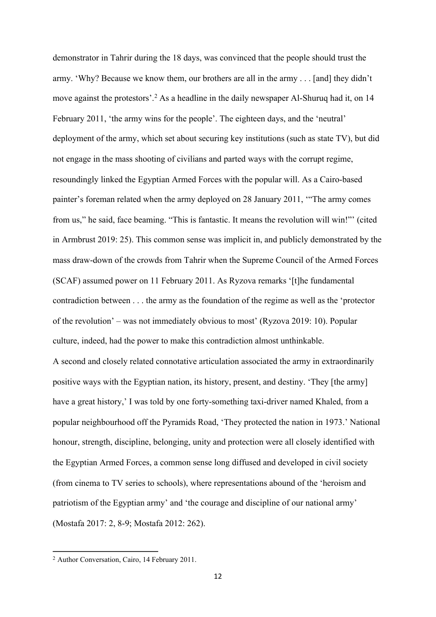demonstrator in Tahrir during the 18 days, was convinced that the people should trust the army. 'Why? Because we know them, our brothers are all in the army . . . [and] they didn't move against the protestors'.<sup>2</sup> As a headline in the daily newspaper Al-Shuruq had it, on 14 February 2011, 'the army wins for the people'. The eighteen days, and the 'neutral' deployment of the army, which set about securing key institutions (such as state TV), but did not engage in the mass shooting of civilians and parted ways with the corrupt regime, resoundingly linked the Egyptian Armed Forces with the popular will. As a Cairo-based painter's foreman related when the army deployed on 28 January 2011, '"The army comes from us," he said, face beaming. "This is fantastic. It means the revolution will win!"' (cited in Armbrust 2019: 25). This common sense was implicit in, and publicly demonstrated by the mass draw-down of the crowds from Tahrir when the Supreme Council of the Armed Forces (SCAF) assumed power on 11 February 2011. As Ryzova remarks '[t]he fundamental contradiction between . . . the army as the foundation of the regime as well as the 'protector of the revolution' – was not immediately obvious to most' (Ryzova 2019: 10). Popular culture, indeed, had the power to make this contradiction almost unthinkable. A second and closely related connotative articulation associated the army in extraordinarily positive ways with the Egyptian nation, its history, present, and destiny. 'They [the army] have a great history,' I was told by one forty-something taxi-driver named Khaled, from a popular neighbourhood off the Pyramids Road, 'They protected the nation in 1973.' National honour, strength, discipline, belonging, unity and protection were all closely identified with the Egyptian Armed Forces, a common sense long diffused and developed in civil society (from cinema to TV series to schools), where representations abound of the 'heroism and patriotism of the Egyptian army' and 'the courage and discipline of our national army' (Mostafa 2017: 2, 8-9; Mostafa 2012: 262).

<sup>2</sup> Author Conversation, Cairo, 14 February 2011.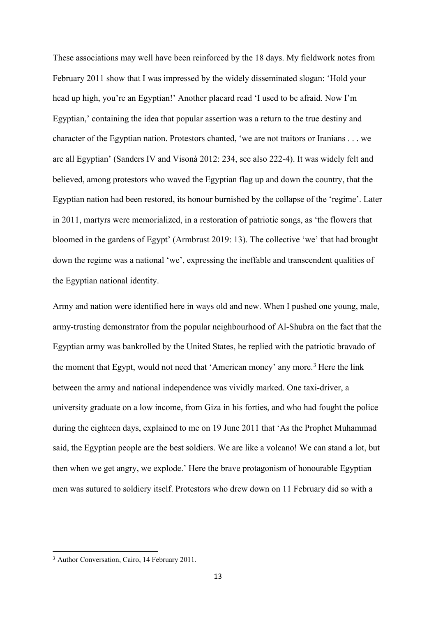These associations may well have been reinforced by the 18 days. My fieldwork notes from February 2011 show that I was impressed by the widely disseminated slogan: 'Hold your head up high, you're an Egyptian!' Another placard read 'I used to be afraid. Now I'm Egyptian,' containing the idea that popular assertion was a return to the true destiny and character of the Egyptian nation. Protestors chanted, 'we are not traitors or Iranians . . . we are all Egyptian' (Sanders IV and Visonà 2012: 234, see also 222-4). It was widely felt and believed, among protestors who waved the Egyptian flag up and down the country, that the Egyptian nation had been restored, its honour burnished by the collapse of the 'regime'. Later in 2011, martyrs were memorialized, in a restoration of patriotic songs, as 'the flowers that bloomed in the gardens of Egypt' (Armbrust 2019: 13). The collective 'we' that had brought down the regime was a national 'we', expressing the ineffable and transcendent qualities of the Egyptian national identity.

Army and nation were identified here in ways old and new. When I pushed one young, male, army-trusting demonstrator from the popular neighbourhood of Al-Shubra on the fact that the Egyptian army was bankrolled by the United States, he replied with the patriotic bravado of the moment that Egypt, would not need that 'American money' any more.<sup>3</sup> Here the link between the army and national independence was vividly marked. One taxi-driver, a university graduate on a low income, from Giza in his forties, and who had fought the police during the eighteen days, explained to me on 19 June 2011 that 'As the Prophet Muhammad said, the Egyptian people are the best soldiers. We are like a volcano! We can stand a lot, but then when we get angry, we explode.' Here the brave protagonism of honourable Egyptian men was sutured to soldiery itself. Protestors who drew down on 11 February did so with a

<sup>3</sup> Author Conversation, Cairo, 14 February 2011.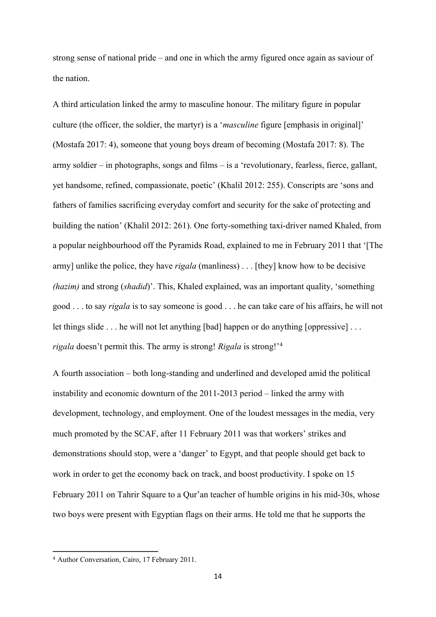strong sense of national pride – and one in which the army figured once again as saviour of the nation.

A third articulation linked the army to masculine honour. The military figure in popular culture (the officer, the soldier, the martyr) is a '*masculine* figure [emphasis in original]' (Mostafa 2017: 4), someone that young boys dream of becoming (Mostafa 2017: 8). The army soldier – in photographs, songs and films – is a 'revolutionary, fearless, fierce, gallant, yet handsome, refined, compassionate, poetic' (Khalil 2012: 255). Conscripts are 'sons and fathers of families sacrificing everyday comfort and security for the sake of protecting and building the nation' (Khalil 2012: 261). One forty-something taxi-driver named Khaled, from a popular neighbourhood off the Pyramids Road, explained to me in February 2011 that '[The army] unlike the police, they have *rigala* (manliness) . . . [they] know how to be decisive *(hazim)* and strong (*shadid*)'. This, Khaled explained, was an important quality, 'something good . . . to say *rigala* is to say someone is good . . . he can take care of his affairs, he will not let things slide . . . he will not let anything [bad] happen or do anything [oppressive] . . . *rigala* doesn't permit this. The army is strong! *Rigala* is strong!'4

A fourth association – both long-standing and underlined and developed amid the political instability and economic downturn of the 2011-2013 period – linked the army with development, technology, and employment. One of the loudest messages in the media, very much promoted by the SCAF, after 11 February 2011 was that workers' strikes and demonstrations should stop, were a 'danger' to Egypt, and that people should get back to work in order to get the economy back on track, and boost productivity. I spoke on 15 February 2011 on Tahrir Square to a Qur'an teacher of humble origins in his mid-30s, whose two boys were present with Egyptian flags on their arms. He told me that he supports the

<sup>4</sup> Author Conversation, Cairo, 17 February 2011.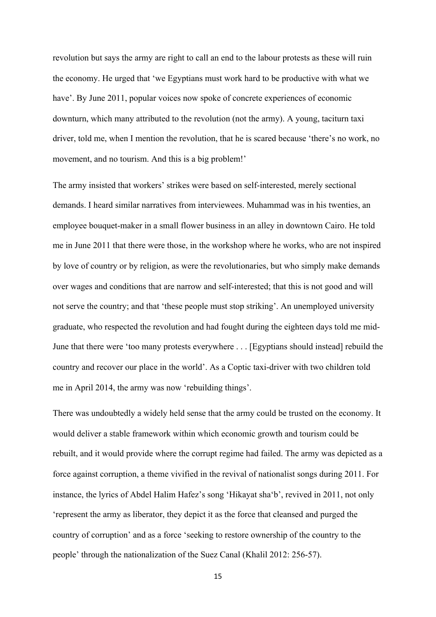revolution but says the army are right to call an end to the labour protests as these will ruin the economy. He urged that 'we Egyptians must work hard to be productive with what we have'. By June 2011, popular voices now spoke of concrete experiences of economic downturn, which many attributed to the revolution (not the army). A young, taciturn taxi driver, told me, when I mention the revolution, that he is scared because 'there's no work, no movement, and no tourism. And this is a big problem!'

The army insisted that workers' strikes were based on self-interested, merely sectional demands. I heard similar narratives from interviewees. Muhammad was in his twenties, an employee bouquet-maker in a small flower business in an alley in downtown Cairo. He told me in June 2011 that there were those, in the workshop where he works, who are not inspired by love of country or by religion, as were the revolutionaries, but who simply make demands over wages and conditions that are narrow and self-interested; that this is not good and will not serve the country; and that 'these people must stop striking'. An unemployed university graduate, who respected the revolution and had fought during the eighteen days told me mid-June that there were 'too many protests everywhere . . . [Egyptians should instead] rebuild the country and recover our place in the world'. As a Coptic taxi-driver with two children told me in April 2014, the army was now 'rebuilding things'.

There was undoubtedly a widely held sense that the army could be trusted on the economy. It would deliver a stable framework within which economic growth and tourism could be rebuilt, and it would provide where the corrupt regime had failed. The army was depicted as a force against corruption, a theme vivified in the revival of nationalist songs during 2011. For instance, the lyrics of Abdel Halim Hafez's song 'Hikayat sha'b', revived in 2011, not only 'represent the army as liberator, they depict it as the force that cleansed and purged the country of corruption' and as a force 'seeking to restore ownership of the country to the people' through the nationalization of the Suez Canal (Khalil 2012: 256-57).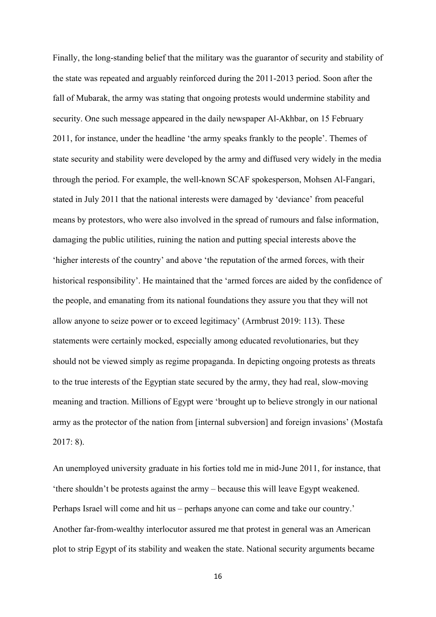Finally, the long-standing belief that the military was the guarantor of security and stability of the state was repeated and arguably reinforced during the 2011-2013 period. Soon after the fall of Mubarak, the army was stating that ongoing protests would undermine stability and security. One such message appeared in the daily newspaper Al-Akhbar, on 15 February 2011, for instance, under the headline 'the army speaks frankly to the people'. Themes of state security and stability were developed by the army and diffused very widely in the media through the period. For example, the well-known SCAF spokesperson, Mohsen Al-Fangari, stated in July 2011 that the national interests were damaged by 'deviance' from peaceful means by protestors, who were also involved in the spread of rumours and false information, damaging the public utilities, ruining the nation and putting special interests above the 'higher interests of the country' and above 'the reputation of the armed forces, with their historical responsibility'. He maintained that the 'armed forces are aided by the confidence of the people, and emanating from its national foundations they assure you that they will not allow anyone to seize power or to exceed legitimacy' (Armbrust 2019: 113). These statements were certainly mocked, especially among educated revolutionaries, but they should not be viewed simply as regime propaganda. In depicting ongoing protests as threats to the true interests of the Egyptian state secured by the army, they had real, slow-moving meaning and traction. Millions of Egypt were 'brought up to believe strongly in our national army as the protector of the nation from [internal subversion] and foreign invasions' (Mostafa 2017: 8).

An unemployed university graduate in his forties told me in mid-June 2011, for instance, that 'there shouldn't be protests against the army – because this will leave Egypt weakened. Perhaps Israel will come and hit us – perhaps anyone can come and take our country.' Another far-from-wealthy interlocutor assured me that protest in general was an American plot to strip Egypt of its stability and weaken the state. National security arguments became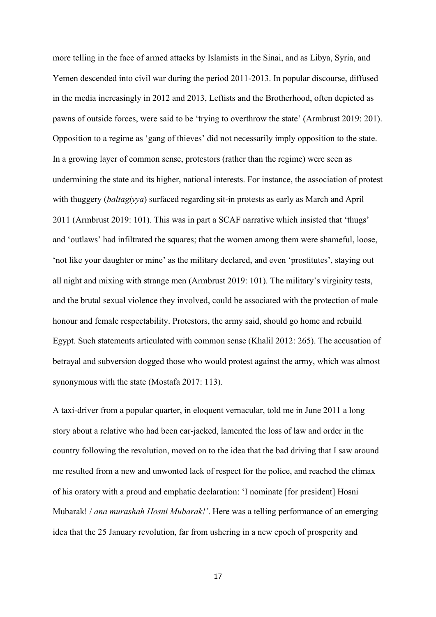more telling in the face of armed attacks by Islamists in the Sinai, and as Libya, Syria, and Yemen descended into civil war during the period 2011-2013. In popular discourse, diffused in the media increasingly in 2012 and 2013, Leftists and the Brotherhood, often depicted as pawns of outside forces, were said to be 'trying to overthrow the state' (Armbrust 2019: 201). Opposition to a regime as 'gang of thieves' did not necessarily imply opposition to the state. In a growing layer of common sense, protestors (rather than the regime) were seen as undermining the state and its higher, national interests. For instance, the association of protest with thuggery (*baltagiyya*) surfaced regarding sit-in protests as early as March and April 2011 (Armbrust 2019: 101). This was in part a SCAF narrative which insisted that 'thugs' and 'outlaws' had infiltrated the squares; that the women among them were shameful, loose, 'not like your daughter or mine' as the military declared, and even 'prostitutes', staying out all night and mixing with strange men (Armbrust 2019: 101). The military's virginity tests, and the brutal sexual violence they involved, could be associated with the protection of male honour and female respectability. Protestors, the army said, should go home and rebuild Egypt. Such statements articulated with common sense (Khalil 2012: 265). The accusation of betrayal and subversion dogged those who would protest against the army, which was almost synonymous with the state (Mostafa 2017: 113).

A taxi-driver from a popular quarter, in eloquent vernacular, told me in June 2011 a long story about a relative who had been car-jacked, lamented the loss of law and order in the country following the revolution, moved on to the idea that the bad driving that I saw around me resulted from a new and unwonted lack of respect for the police, and reached the climax of his oratory with a proud and emphatic declaration: 'I nominate [for president] Hosni Mubarak! / *ana murashah Hosni Mubarak!'*. Here was a telling performance of an emerging idea that the 25 January revolution, far from ushering in a new epoch of prosperity and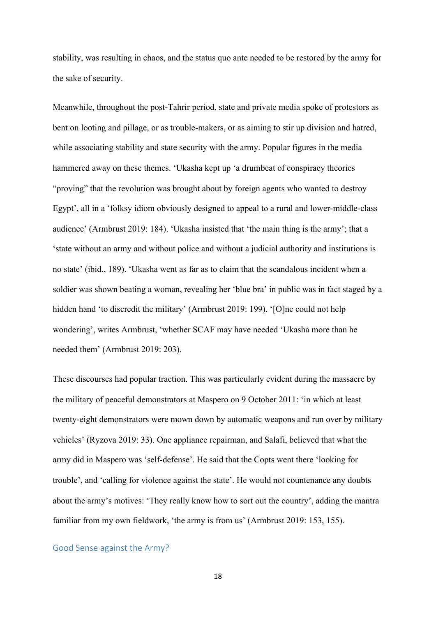stability, was resulting in chaos, and the status quo ante needed to be restored by the army for the sake of security.

Meanwhile, throughout the post-Tahrir period, state and private media spoke of protestors as bent on looting and pillage, or as trouble-makers, or as aiming to stir up division and hatred, while associating stability and state security with the army. Popular figures in the media hammered away on these themes. 'Ukasha kept up 'a drumbeat of conspiracy theories "proving" that the revolution was brought about by foreign agents who wanted to destroy Egypt', all in a 'folksy idiom obviously designed to appeal to a rural and lower-middle-class audience' (Armbrust 2019: 184). 'Ukasha insisted that 'the main thing is the army'; that a 'state without an army and without police and without a judicial authority and institutions is no state' (ibid., 189). 'Ukasha went as far as to claim that the scandalous incident when a soldier was shown beating a woman, revealing her 'blue bra' in public was in fact staged by a hidden hand 'to discredit the military' (Armbrust 2019: 199). '[O]ne could not help wondering', writes Armbrust, 'whether SCAF may have needed 'Ukasha more than he needed them' (Armbrust 2019: 203).

These discourses had popular traction. This was particularly evident during the massacre by the military of peaceful demonstrators at Maspero on 9 October 2011: 'in which at least twenty-eight demonstrators were mown down by automatic weapons and run over by military vehicles' (Ryzova 2019: 33). One appliance repairman, and Salafi, believed that what the army did in Maspero was 'self-defense'. He said that the Copts went there 'looking for trouble', and 'calling for violence against the state'. He would not countenance any doubts about the army's motives: 'They really know how to sort out the country', adding the mantra familiar from my own fieldwork, 'the army is from us' (Armbrust 2019: 153, 155).

### Good Sense against the Army?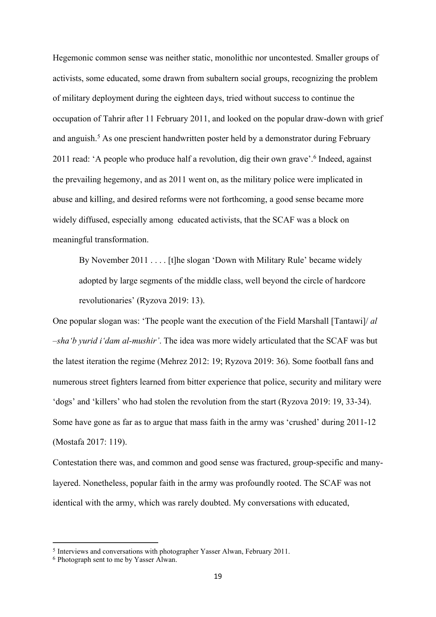Hegemonic common sense was neither static, monolithic nor uncontested. Smaller groups of activists, some educated, some drawn from subaltern social groups, recognizing the problem of military deployment during the eighteen days, tried without success to continue the occupation of Tahrir after 11 February 2011, and looked on the popular draw-down with grief and anguish.<sup>5</sup> As one prescient handwritten poster held by a demonstrator during February 2011 read: 'A people who produce half a revolution, dig their own grave'.6 Indeed, against the prevailing hegemony, and as 2011 went on, as the military police were implicated in abuse and killing, and desired reforms were not forthcoming, a good sense became more widely diffused, especially among educated activists, that the SCAF was a block on meaningful transformation.

By November 2011 . . . . [t]he slogan 'Down with Military Rule' became widely adopted by large segments of the middle class, well beyond the circle of hardcore revolutionaries' (Ryzova 2019: 13).

One popular slogan was: 'The people want the execution of the Field Marshall [Tantawi]/ *al –sha'b yurid i'dam al-mushir'*. The idea was more widely articulated that the SCAF was but the latest iteration the regime (Mehrez 2012: 19; Ryzova 2019: 36). Some football fans and numerous street fighters learned from bitter experience that police, security and military were 'dogs' and 'killers' who had stolen the revolution from the start (Ryzova 2019: 19, 33-34). Some have gone as far as to argue that mass faith in the army was 'crushed' during 2011-12 (Mostafa 2017: 119).

Contestation there was, and common and good sense was fractured, group-specific and manylayered. Nonetheless, popular faith in the army was profoundly rooted. The SCAF was not identical with the army, which was rarely doubted. My conversations with educated,

<sup>5</sup> Interviews and conversations with photographer Yasser Alwan, February 2011.

<sup>6</sup> Photograph sent to me by Yasser Alwan.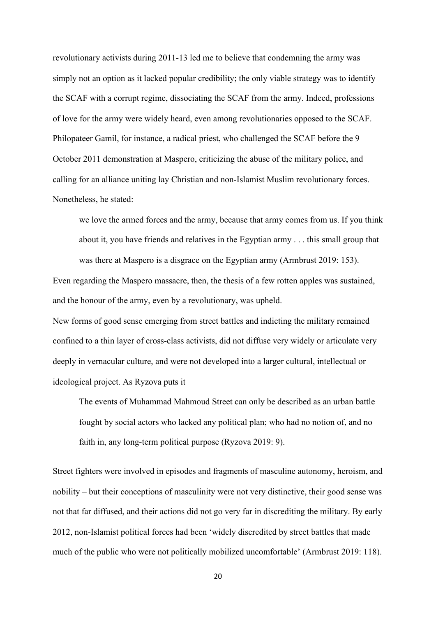revolutionary activists during 2011-13 led me to believe that condemning the army was simply not an option as it lacked popular credibility; the only viable strategy was to identify the SCAF with a corrupt regime, dissociating the SCAF from the army. Indeed, professions of love for the army were widely heard, even among revolutionaries opposed to the SCAF. Philopateer Gamil, for instance, a radical priest, who challenged the SCAF before the 9 October 2011 demonstration at Maspero, criticizing the abuse of the military police, and calling for an alliance uniting lay Christian and non-Islamist Muslim revolutionary forces. Nonetheless, he stated:

we love the armed forces and the army, because that army comes from us. If you think about it, you have friends and relatives in the Egyptian army . . . this small group that was there at Maspero is a disgrace on the Egyptian army (Armbrust 2019: 153).

Even regarding the Maspero massacre, then, the thesis of a few rotten apples was sustained, and the honour of the army, even by a revolutionary, was upheld.

New forms of good sense emerging from street battles and indicting the military remained confined to a thin layer of cross-class activists, did not diffuse very widely or articulate very deeply in vernacular culture, and were not developed into a larger cultural, intellectual or ideological project. As Ryzova puts it

The events of Muhammad Mahmoud Street can only be described as an urban battle fought by social actors who lacked any political plan; who had no notion of, and no faith in, any long-term political purpose (Ryzova 2019: 9).

Street fighters were involved in episodes and fragments of masculine autonomy, heroism, and nobility – but their conceptions of masculinity were not very distinctive, their good sense was not that far diffused, and their actions did not go very far in discrediting the military. By early 2012, non-Islamist political forces had been 'widely discredited by street battles that made much of the public who were not politically mobilized uncomfortable' (Armbrust 2019: 118).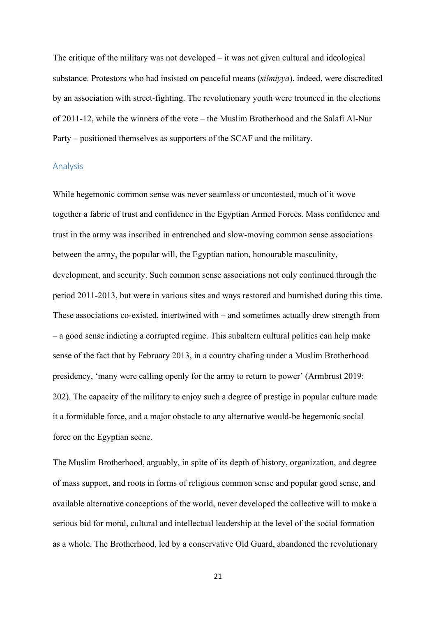The critique of the military was not developed – it was not given cultural and ideological substance. Protestors who had insisted on peaceful means (*silmiyya*), indeed, were discredited by an association with street-fighting. The revolutionary youth were trounced in the elections of 2011-12, while the winners of the vote – the Muslim Brotherhood and the Salafi Al-Nur Party – positioned themselves as supporters of the SCAF and the military.

### Analysis

While hegemonic common sense was never seamless or uncontested, much of it wove together a fabric of trust and confidence in the Egyptian Armed Forces. Mass confidence and trust in the army was inscribed in entrenched and slow-moving common sense associations between the army, the popular will, the Egyptian nation, honourable masculinity, development, and security. Such common sense associations not only continued through the period 2011-2013, but were in various sites and ways restored and burnished during this time. These associations co-existed, intertwined with – and sometimes actually drew strength from – a good sense indicting a corrupted regime. This subaltern cultural politics can help make sense of the fact that by February 2013, in a country chafing under a Muslim Brotherhood presidency, 'many were calling openly for the army to return to power' (Armbrust 2019: 202). The capacity of the military to enjoy such a degree of prestige in popular culture made it a formidable force, and a major obstacle to any alternative would-be hegemonic social force on the Egyptian scene.

The Muslim Brotherhood, arguably, in spite of its depth of history, organization, and degree of mass support, and roots in forms of religious common sense and popular good sense, and available alternative conceptions of the world, never developed the collective will to make a serious bid for moral, cultural and intellectual leadership at the level of the social formation as a whole. The Brotherhood, led by a conservative Old Guard, abandoned the revolutionary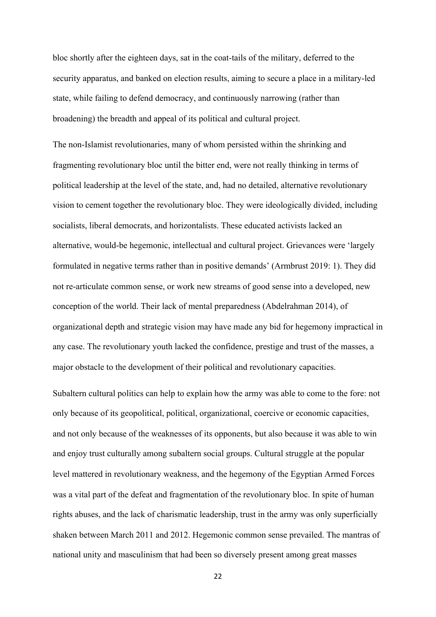bloc shortly after the eighteen days, sat in the coat-tails of the military, deferred to the security apparatus, and banked on election results, aiming to secure a place in a military-led state, while failing to defend democracy, and continuously narrowing (rather than broadening) the breadth and appeal of its political and cultural project.

The non-Islamist revolutionaries, many of whom persisted within the shrinking and fragmenting revolutionary bloc until the bitter end, were not really thinking in terms of political leadership at the level of the state, and, had no detailed, alternative revolutionary vision to cement together the revolutionary bloc. They were ideologically divided, including socialists, liberal democrats, and horizontalists. These educated activists lacked an alternative, would-be hegemonic, intellectual and cultural project. Grievances were 'largely formulated in negative terms rather than in positive demands' (Armbrust 2019: 1). They did not re-articulate common sense, or work new streams of good sense into a developed, new conception of the world. Their lack of mental preparedness (Abdelrahman 2014), of organizational depth and strategic vision may have made any bid for hegemony impractical in any case. The revolutionary youth lacked the confidence, prestige and trust of the masses, a major obstacle to the development of their political and revolutionary capacities.

Subaltern cultural politics can help to explain how the army was able to come to the fore: not only because of its geopolitical, political, organizational, coercive or economic capacities, and not only because of the weaknesses of its opponents, but also because it was able to win and enjoy trust culturally among subaltern social groups. Cultural struggle at the popular level mattered in revolutionary weakness, and the hegemony of the Egyptian Armed Forces was a vital part of the defeat and fragmentation of the revolutionary bloc. In spite of human rights abuses, and the lack of charismatic leadership, trust in the army was only superficially shaken between March 2011 and 2012. Hegemonic common sense prevailed. The mantras of national unity and masculinism that had been so diversely present among great masses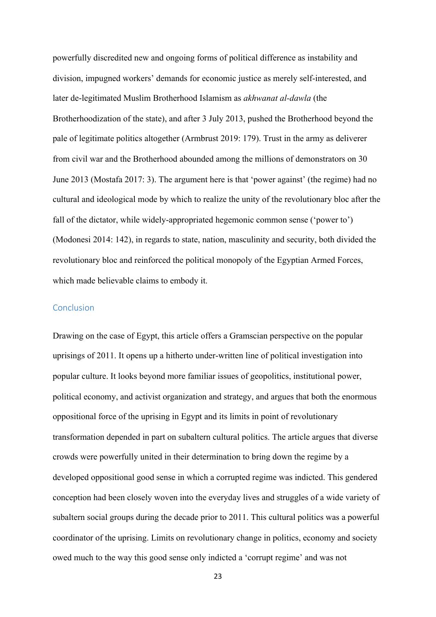powerfully discredited new and ongoing forms of political difference as instability and division, impugned workers' demands for economic justice as merely self-interested, and later de-legitimated Muslim Brotherhood Islamism as *akhwanat al-dawla* (the Brotherhoodization of the state), and after 3 July 2013, pushed the Brotherhood beyond the pale of legitimate politics altogether (Armbrust 2019: 179). Trust in the army as deliverer from civil war and the Brotherhood abounded among the millions of demonstrators on 30 June 2013 (Mostafa 2017: 3). The argument here is that 'power against' (the regime) had no cultural and ideological mode by which to realize the unity of the revolutionary bloc after the fall of the dictator, while widely-appropriated hegemonic common sense ('power to') (Modonesi 2014: 142), in regards to state, nation, masculinity and security, both divided the revolutionary bloc and reinforced the political monopoly of the Egyptian Armed Forces, which made believable claims to embody it.

### Conclusion

Drawing on the case of Egypt, this article offers a Gramscian perspective on the popular uprisings of 2011. It opens up a hitherto under-written line of political investigation into popular culture. It looks beyond more familiar issues of geopolitics, institutional power, political economy, and activist organization and strategy, and argues that both the enormous oppositional force of the uprising in Egypt and its limits in point of revolutionary transformation depended in part on subaltern cultural politics. The article argues that diverse crowds were powerfully united in their determination to bring down the regime by a developed oppositional good sense in which a corrupted regime was indicted. This gendered conception had been closely woven into the everyday lives and struggles of a wide variety of subaltern social groups during the decade prior to 2011. This cultural politics was a powerful coordinator of the uprising. Limits on revolutionary change in politics, economy and society owed much to the way this good sense only indicted a 'corrupt regime' and was not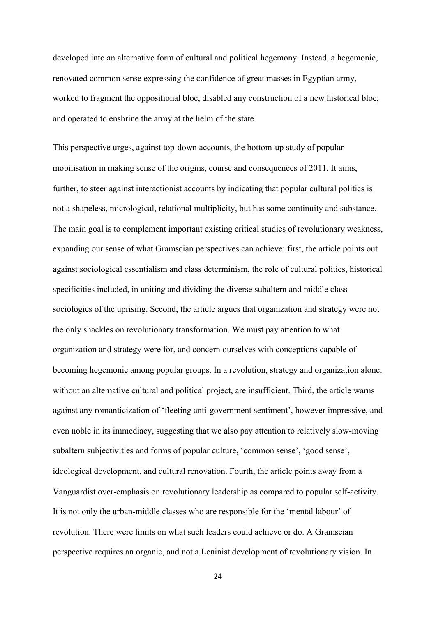developed into an alternative form of cultural and political hegemony. Instead, a hegemonic, renovated common sense expressing the confidence of great masses in Egyptian army, worked to fragment the oppositional bloc, disabled any construction of a new historical bloc, and operated to enshrine the army at the helm of the state.

This perspective urges, against top-down accounts, the bottom-up study of popular mobilisation in making sense of the origins, course and consequences of 2011. It aims, further, to steer against interactionist accounts by indicating that popular cultural politics is not a shapeless, micrological, relational multiplicity, but has some continuity and substance. The main goal is to complement important existing critical studies of revolutionary weakness, expanding our sense of what Gramscian perspectives can achieve: first, the article points out against sociological essentialism and class determinism, the role of cultural politics, historical specificities included, in uniting and dividing the diverse subaltern and middle class sociologies of the uprising. Second, the article argues that organization and strategy were not the only shackles on revolutionary transformation. We must pay attention to what organization and strategy were for, and concern ourselves with conceptions capable of becoming hegemonic among popular groups. In a revolution, strategy and organization alone, without an alternative cultural and political project, are insufficient. Third, the article warns against any romanticization of 'fleeting anti-government sentiment', however impressive, and even noble in its immediacy, suggesting that we also pay attention to relatively slow-moving subaltern subjectivities and forms of popular culture, 'common sense', 'good sense', ideological development, and cultural renovation. Fourth, the article points away from a Vanguardist over-emphasis on revolutionary leadership as compared to popular self-activity. It is not only the urban-middle classes who are responsible for the 'mental labour' of revolution. There were limits on what such leaders could achieve or do. A Gramscian perspective requires an organic, and not a Leninist development of revolutionary vision. In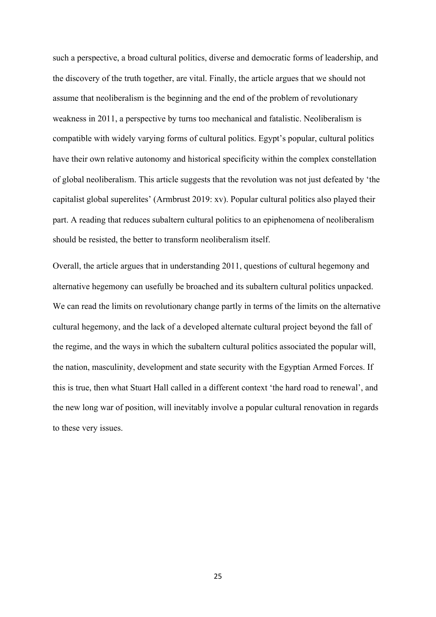such a perspective, a broad cultural politics, diverse and democratic forms of leadership, and the discovery of the truth together, are vital. Finally, the article argues that we should not assume that neoliberalism is the beginning and the end of the problem of revolutionary weakness in 2011, a perspective by turns too mechanical and fatalistic. Neoliberalism is compatible with widely varying forms of cultural politics. Egypt's popular, cultural politics have their own relative autonomy and historical specificity within the complex constellation of global neoliberalism. This article suggests that the revolution was not just defeated by 'the capitalist global superelites' (Armbrust 2019: xv). Popular cultural politics also played their part. A reading that reduces subaltern cultural politics to an epiphenomena of neoliberalism should be resisted, the better to transform neoliberalism itself.

Overall, the article argues that in understanding 2011, questions of cultural hegemony and alternative hegemony can usefully be broached and its subaltern cultural politics unpacked. We can read the limits on revolutionary change partly in terms of the limits on the alternative cultural hegemony, and the lack of a developed alternate cultural project beyond the fall of the regime, and the ways in which the subaltern cultural politics associated the popular will, the nation, masculinity, development and state security with the Egyptian Armed Forces. If this is true, then what Stuart Hall called in a different context 'the hard road to renewal', and the new long war of position, will inevitably involve a popular cultural renovation in regards to these very issues.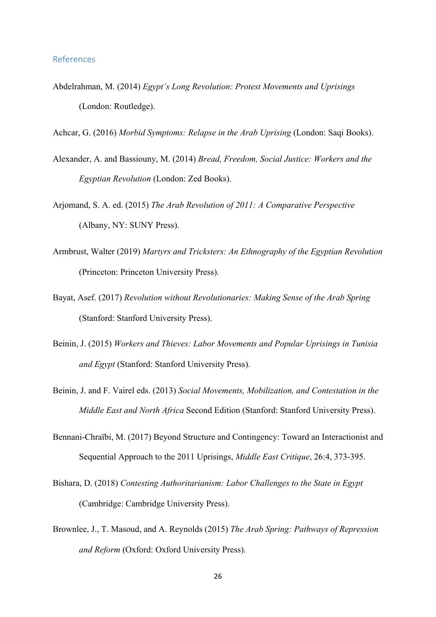### References

Abdelrahman, M. (2014) *Egypt's Long Revolution: Protest Movements and Uprisings*  (London: Routledge).

Achcar, G. (2016) *Morbid Symptoms: Relapse in the Arab Uprising* (London: Saqi Books).

- Alexander, A. and Bassiouny, M. (2014) *Bread, Freedom, Social Justice: Workers and the Egyptian Revolution* (London: Zed Books).
- Arjomand, S. A. ed. (2015) *The Arab Revolution of 2011: A Comparative Perspective*  (Albany, NY: SUNY Press).
- Armbrust, Walter (2019) *Martyrs and Tricksters: An Ethnography of the Egyptian Revolution*  (Princeton: Princeton University Press).
- Bayat, Asef. (2017) *Revolution without Revolutionaries: Making Sense of the Arab Spring*  (Stanford: Stanford University Press).
- Beinin, J. (2015) *Workers and Thieves: Labor Movements and Popular Uprisings in Tunisia and Egypt* (Stanford: Stanford University Press).
- Beinin, J. and F. Vairel eds. (2013) *Social Movements, Mobilization, and Contestation in the Middle East and North Africa* Second Edition (Stanford: Stanford University Press).
- Bennani-Chraïbi, M. (2017) Beyond Structure and Contingency: Toward an Interactionist and Sequential Approach to the 2011 Uprisings, *Middle East Critique*, 26:4, 373-395.
- Bishara, D. (2018) *Contesting Authoritarianism: Labor Challenges to the State in Egypt*  (Cambridge: Cambridge University Press).
- Brownlee, J., T. Masoud, and A. Reynolds (2015) *The Arab Spring: Pathways of Repression and Reform* (Oxford: Oxford University Press).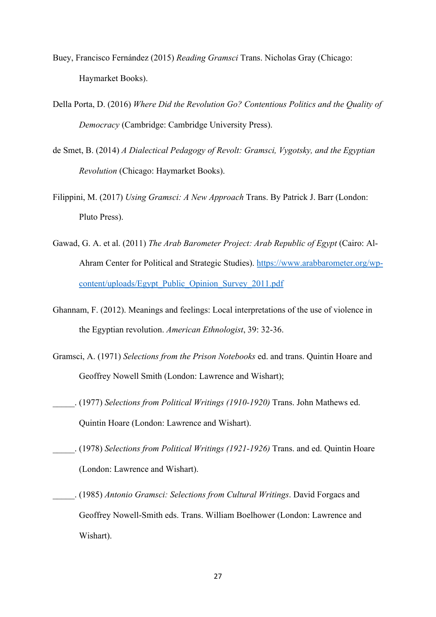- Buey, Francisco Fernández (2015) *Reading Gramsci* Trans. Nicholas Gray (Chicago: Haymarket Books).
- Della Porta, D. (2016) *Where Did the Revolution Go? Contentious Politics and the Quality of Democracy* (Cambridge: Cambridge University Press).
- de Smet, B. (2014) *A Dialectical Pedagogy of Revolt: Gramsci, Vygotsky, and the Egyptian Revolution* (Chicago: Haymarket Books).
- Filippini, M. (2017) *Using Gramsci: A New Approach* Trans. By Patrick J. Barr (London: Pluto Press).
- Gawad, G. A. et al. (2011) *The Arab Barometer Project: Arab Republic of Egypt* (Cairo: Al-Ahram Center for Political and Strategic Studies). https://www.arabbarometer.org/wpcontent/uploads/Egypt\_Public\_Opinion\_Survey\_2011.pdf
- Ghannam, F. (2012). Meanings and feelings: Local interpretations of the use of violence in the Egyptian revolution. *American Ethnologist*, 39: 32-36.
- Gramsci, A. (1971) *Selections from the Prison Notebooks* ed. and trans. Quintin Hoare and Geoffrey Nowell Smith (London: Lawrence and Wishart);
- \_\_\_\_\_. (1977) *Selections from Political Writings (1910-1920)* Trans. John Mathews ed. Quintin Hoare (London: Lawrence and Wishart).
- \_\_\_\_\_. (1978) *Selections from Political Writings (1921-1926)* Trans. and ed. Quintin Hoare (London: Lawrence and Wishart).
- \_\_\_\_\_. (1985) *Antonio Gramsci: Selections from Cultural Writings*. David Forgacs and Geoffrey Nowell-Smith eds. Trans. William Boelhower (London: Lawrence and Wishart).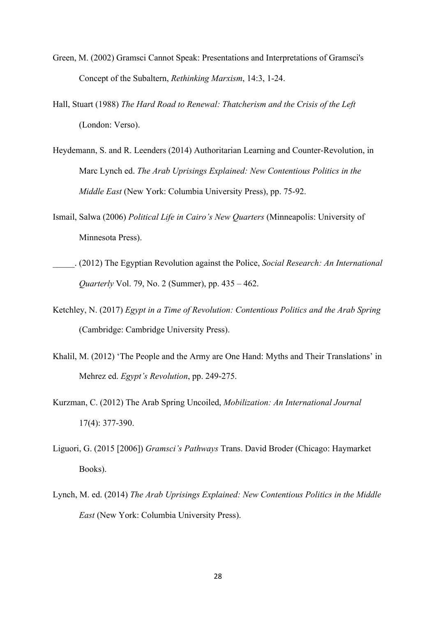- Green, M. (2002) Gramsci Cannot Speak: Presentations and Interpretations of Gramsci's Concept of the Subaltern, *Rethinking Marxism*, 14:3, 1-24.
- Hall, Stuart (1988) *The Hard Road to Renewal: Thatcherism and the Crisis of the Left*  (London: Verso).
- Heydemann, S. and R. Leenders (2014) Authoritarian Learning and Counter-Revolution, in Marc Lynch ed. *The Arab Uprisings Explained: New Contentious Politics in the Middle East* (New York: Columbia University Press), pp. 75-92.
- Ismail, Salwa (2006) *Political Life in Cairo's New Quarters* (Minneapolis: University of Minnesota Press).
- \_\_\_\_\_. (2012) The Egyptian Revolution against the Police, *Social Research: An International Quarterly* Vol. 79, No. 2 (Summer), pp. 435 – 462.
- Ketchley, N. (2017) *Egypt in a Time of Revolution: Contentious Politics and the Arab Spring*  (Cambridge: Cambridge University Press).
- Khalil, M. (2012) 'The People and the Army are One Hand: Myths and Their Translations' in Mehrez ed. *Egypt's Revolution*, pp. 249-275.
- Kurzman, C. (2012) The Arab Spring Uncoiled, *Mobilization: An International Journal* 17(4): 377-390.
- Liguori, G. (2015 [2006]) *Gramsci's Pathways* Trans. David Broder (Chicago: Haymarket Books).
- Lynch, M. ed. (2014) *The Arab Uprisings Explained: New Contentious Politics in the Middle East* (New York: Columbia University Press).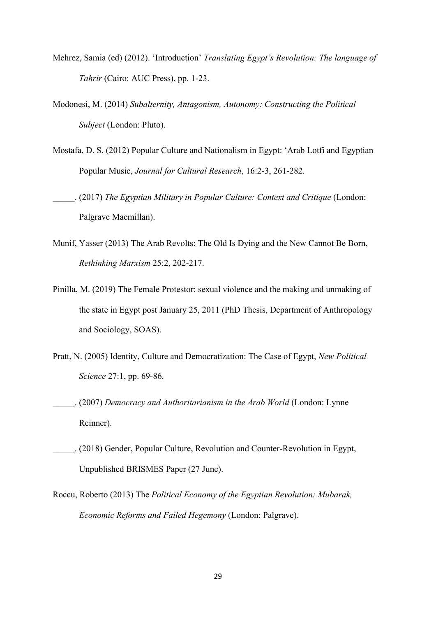- Mehrez, Samia (ed) (2012). 'Introduction' *Translating Egypt's Revolution: The language of Tahrir* (Cairo: AUC Press), pp. 1-23.
- Modonesi, M. (2014) *Subalternity, Antagonism, Autonomy: Constructing the Political Subject* (London: Pluto).
- Mostafa, D. S. (2012) Popular Culture and Nationalism in Egypt: 'Arab Lotfi and Egyptian Popular Music, *Journal for Cultural Research*, 16:2-3, 261-282.

\_\_\_\_\_. (2017) *The Egyptian Military in Popular Culture: Context and Critique* (London: Palgrave Macmillan).

- Munif, Yasser (2013) The Arab Revolts: The Old Is Dying and the New Cannot Be Born, *Rethinking Marxism* 25:2, 202-217.
- Pinilla, M. (2019) The Female Protestor: sexual violence and the making and unmaking of the state in Egypt post January 25, 2011 (PhD Thesis, Department of Anthropology and Sociology, SOAS).
- Pratt, N. (2005) Identity, Culture and Democratization: The Case of Egypt, *New Political Science* 27:1, pp. 69-86.
- \_\_\_\_\_. (2007) *Democracy and Authoritarianism in the Arab World* (London: Lynne Reinner).
- \_\_\_\_\_. (2018) Gender, Popular Culture, Revolution and Counter-Revolution in Egypt, Unpublished BRISMES Paper (27 June).
- Roccu, Roberto (2013) The *Political Economy of the Egyptian Revolution: Mubarak, Economic Reforms and Failed Hegemony* (London: Palgrave).